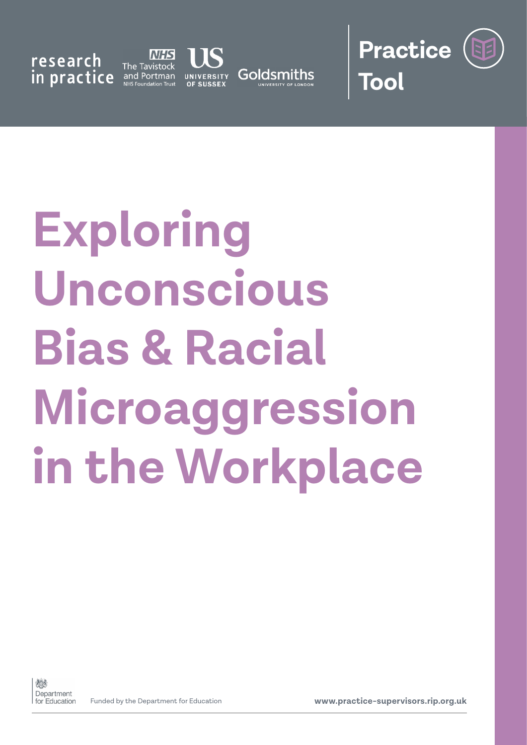research in practice

**NHS** The Tavistock and Portman





# **Exploring Unconscious Bias & Racial Microaggression in the Workplace**



Funded by the Department for Education **www.practice-supervisors.rip.org.uk**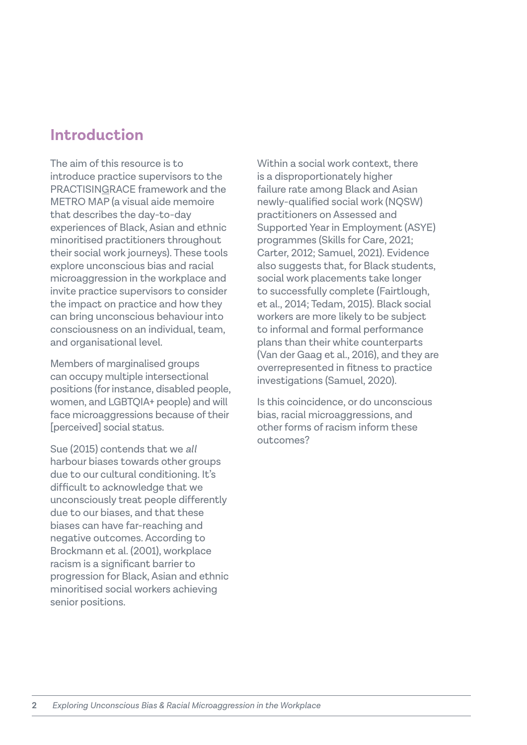## **Introduction**

The aim of this resource is to introduce practice supervisors to the PRACTISINGRACE framework and the METRO MAP (a visual aide memoire that describes the day-to-day experiences of Black, Asian and ethnic minoritised practitioners throughout their social work journeys). These tools explore unconscious bias and racial microaggression in the workplace and invite practice supervisors to consider the impact on practice and how they can bring unconscious behaviour into consciousness on an individual, team, and organisational level.

Members of marginalised groups can occupy multiple intersectional positions (for instance, disabled people, women, and LGBTQIA+ people) and will face microaggressions because of their [perceived] social status.

Sue (2015) contends that we *all* harbour biases towards other groups due to our cultural conditioning. It's difficult to acknowledge that we unconsciously treat people differently due to our biases, and that these biases can have far-reaching and negative outcomes. According to Brockmann et al. (2001), workplace racism is a significant barrier to progression for Black, Asian and ethnic minoritised social workers achieving senior positions.

Within a social work context, there is a disproportionately higher failure rate among Black and Asian newly-qualified social work (NQSW) practitioners on Assessed and Supported Year in Employment (ASYE) programmes (Skills for Care, 2021; Carter, 2012; Samuel, 2021). Evidence also suggests that, for Black students, social work placements take longer to successfully complete (Fairtlough, et al., 2014; Tedam, 2015). Black social workers are more likely to be subject to informal and formal performance plans than their white counterparts (Van der Gaag et al., 2016), and they are overrepresented in fitness to practice investigations (Samuel, 2020).

Is this coincidence, or do unconscious bias, racial microaggressions, and other forms of racism inform these outcomes?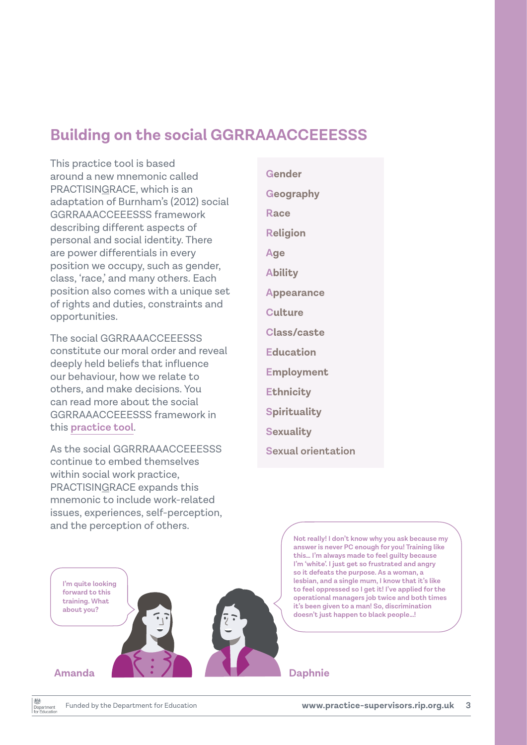## **Building on the social GGRRAAACCEEESSS**

This practice tool is based around a new mnemonic called PRACTISINGRACE, which is an adaptation of Burnham's (2012) social GGRRAAACCEEESSS framework describing different aspects of personal and social identity. There are power differentials in every position we occupy, such as gender, class, 'race,' and many others. Each position also comes with a unique set of rights and duties, constraints and opportunities.

The social GGRRAAACCEEESSS constitute our moral order and reveal deeply held beliefs that influence our behaviour, how we relate to others, and make decisions. You can read more about the social GGRRAAACCEEESSS framework in this **[practice tool](https://practice-supervisors.rip.org.uk/wp-content/uploads/2019/11/Social-GGRRAAACCEEESSS-and-the-LUUUTT-model.pdf)**.

As the social GGRRRAAACCEEESSS continue to embed themselves within social work practice, PRACTISINGRACE expands this mnemonic to include work-related issues, experiences, self-perception, and the perception of others.

**Gender Geography Race Religion Age Ability Appearance Culture Class/caste Education Employment Ethnicity Spirituality Sexuality Sexual orientation**

> **Not really! I don't know why you ask because my answer is never PC enough for you! Training like this… I'm always made to feel guilty because I'm 'white'. I just get so frustrated and angry so it defeats the purpose. As a woman, a lesbian, and a single mum, I know that it's like to feel oppressed so I get it! I've applied for the operational managers job twice and both times it's been given to a man! So, discrimination doesn't just happen to black people…!**

#### **Amanda Daphnie**

数 Department

**I'm quite looking forward to this training. What about you?**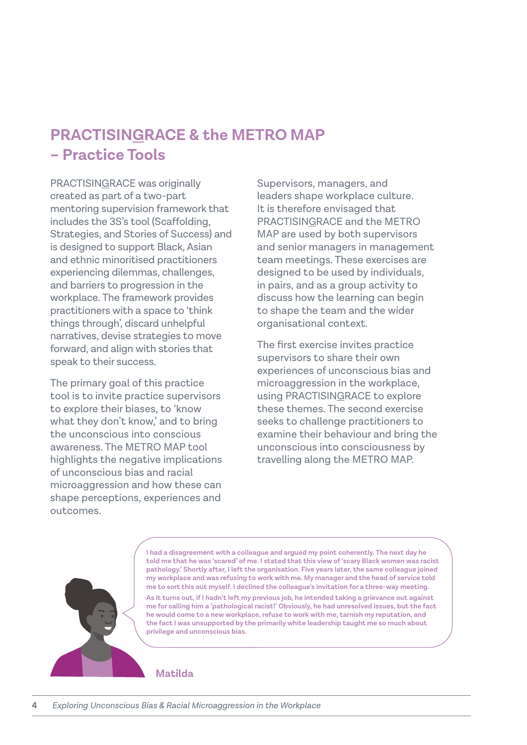## **PRACTISINGRACE & the METRO MAP – Practice Tools**

PRACTISINGRACE was originally created as part of a two-part mentoring supervision framework that includes the 3S's tool (Scaffolding, Strategies, and Stories of Success) and is designed to support Black, Asian and ethnic minoritised practitioners experiencing dilemmas, challenges, and barriers to progression in the workplace. The framework provides practitioners with a space to 'think things through', discard unhelpful narratives, devise strategies to move forward, and align with stories that speak to their success.

The primary goal of this practice tool is to invite practice supervisors to explore their biases, to 'know what they don't know,' and to bring the unconscious into conscious awareness. The METRO MAP tool highlights the negative implications of unconscious bias and racial microaggression and how these can shape perceptions, experiences and outcomes.

Supervisors, managers, and leaders shape workplace culture. It is therefore envisaged that PRACTISINGRACE and the METRO MAP are used by both supervisors and senior managers in management team meetings. These exercises are designed to be used by individuals, in pairs, and as a group activity to discuss how the learning can begin to shape the team and the wider organisational context.

The first exercise invites practice supervisors to share their own experiences of unconscious bias and microaggression in the workplace, using PRACTISINGRACE to explore these themes. The second exercise seeks to challenge practitioners to examine their behaviour and bring the unconscious into consciousness by travelling along the METRO MAP.



**I had a disagreement with a colleague and argued my point coherently. The next day he told me that he was 'scared' of me. I stated that this view of 'scary Black women was racist pathology.' Shortly after, I left the organisation. Five years later, the same colleague joined my workplace and was refusing to work with me. My manager and the head of service told me to sort this out myself. I declined the colleague's invitation for a three-way meeting.**

**As it turns out, if I hadn't left my previous job, he intended taking a grievance out against me for calling him a 'pathological racist!' Obviously, he had unresolved issues, but the fact he would come to a new workplace, refuse to work with me, tarnish my reputation, and the fact I was unsupported by the primarily white leadership taught me so much about privilege and unconscious bias.**

#### **Matilda**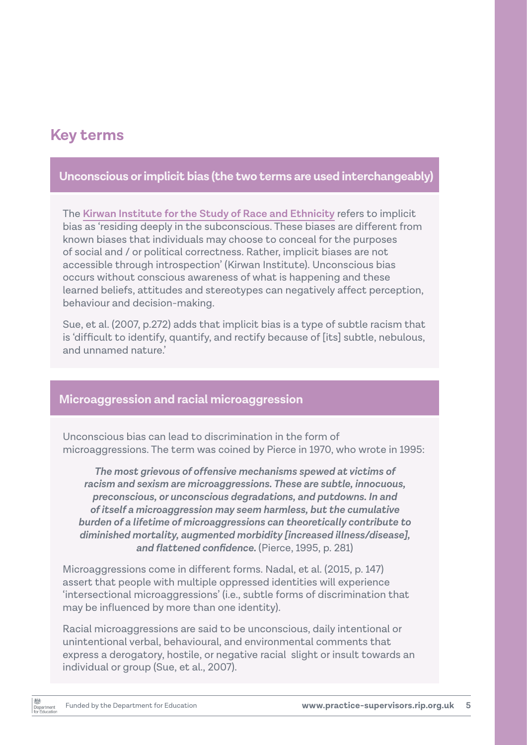## **Key terms**

## **Unconscious or implicit bias (the two terms are used interchangeably)**

The **[Kirwan Institute for the Study of Race and Ethnicity](https://kirwaninstitute.osu.edu/)** refers to implicit bias as 'residing deeply in the subconscious. These biases are different from known biases that individuals may choose to conceal for the purposes of social and / or political correctness. Rather, implicit biases are not accessible through introspection' (Kirwan Institute). Unconscious bias occurs without conscious awareness of what is happening and these learned beliefs, attitudes and stereotypes can negatively affect perception, behaviour and decision-making.

Sue, et al. (2007, p.272) adds that implicit bias is a type of subtle racism that is 'difficult to identify, quantify, and rectify because of [its] subtle, nebulous, and unnamed nature.'

#### **Microaggression and racial microaggression**

Unconscious bias can lead to discrimination in the form of microaggressions. The term was coined by Pierce in 1970, who wrote in 1995:

*The most grievous of offensive mechanisms spewed at victims of racism and sexism are microaggressions. These are subtle, innocuous, preconscious, or unconscious degradations, and putdowns. In and of itself a microaggression may seem harmless, but the cumulative burden of a lifetime of microaggressions can theoretically contribute to diminished mortality, augmented morbidity [increased illness/disease], and flattened confidence.* (Pierce, 1995, p. 281)

Microaggressions come in different forms. Nadal, et al. (2015, p. 147) assert that people with multiple oppressed identities will experience 'intersectional microaggressions' (i.e., subtle forms of discrimination that may be influenced by more than one identity).

Racial microaggressions are said to be unconscious, daily intentional or unintentional verbal, behavioural, and environmental comments that express a derogatory, hostile, or negative racial slight or insult towards an individual or group (Sue, et al., 2007).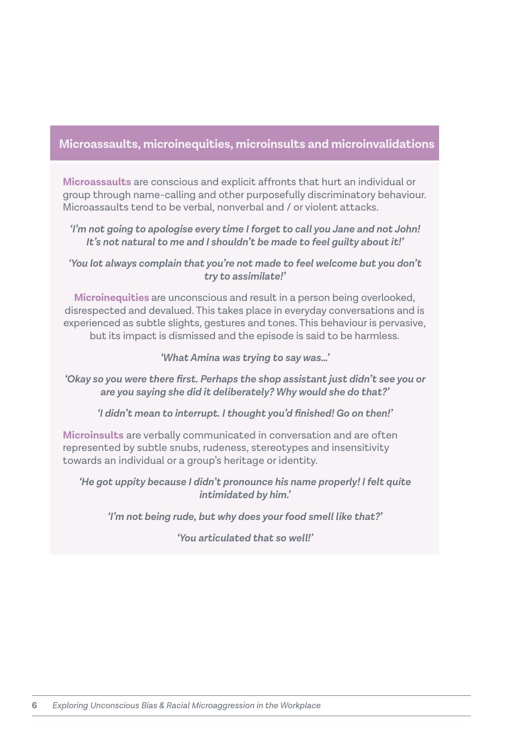#### **Microassaults, microinequities, microinsults and microinvalidations**

**Microassaults** are conscious and explicit affronts that hurt an individual or group through name-calling and other purposefully discriminatory behaviour. Microassaults tend to be verbal, nonverbal and / or violent attacks.

*'I'm not going to apologise every time I forget to call you Jane and not John! It's not natural to me and I shouldn't be made to feel guilty about it!'* 

*'You lot always complain that you're not made to feel welcome but you don't try to assimilate!'*

**Microinequities** are unconscious and result in a person being overlooked, disrespected and devalued. This takes place in everyday conversations and is experienced as subtle slights, gestures and tones. This behaviour is pervasive, but its impact is dismissed and the episode is said to be harmless.

*'What Amina was trying to say was…'*

*'Okay so you were there first. Perhaps the shop assistant just didn't see you or are you saying she did it deliberately? Why would she do that?'* 

*'I didn't mean to interrupt. I thought you'd finished! Go on then!'*

**Microinsults** are verbally communicated in conversation and are often represented by subtle snubs, rudeness, stereotypes and insensitivity towards an individual or a group's heritage or identity.

*'He got uppity because I didn't pronounce his name properly! I felt quite intimidated by him.'*

*'I'm not being rude, but why does your food smell like that?'*

*'You articulated that so well!'*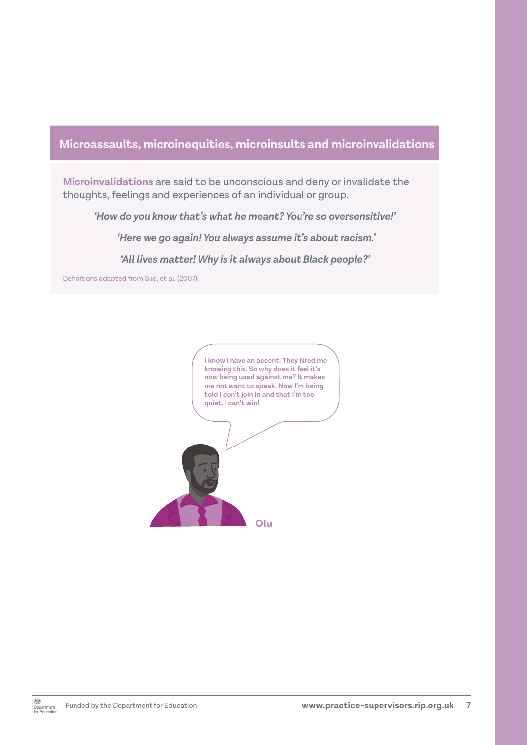## **Microassaults, microinequities, microinsults and microinvalidations**

**Microinvalidations** are said to be unconscious and deny or invalidate the thoughts, feelings and experiences of an individual or group.

*'How do you know that's what he meant? You're so oversensitive!'*

 *'Here we go again! You always assume it's about racism.'*

*'All lives matter! Why is it always about Black people?'* 

Definitions adapted from Sue, et al. (2007).

**I know I have an accent. They hired me knowing this. So why does it feel it's now being used against me? It makes me not want to speak. Now I'm being told I don't join in and that I'm too quiet. I can't win!** 

**Olu**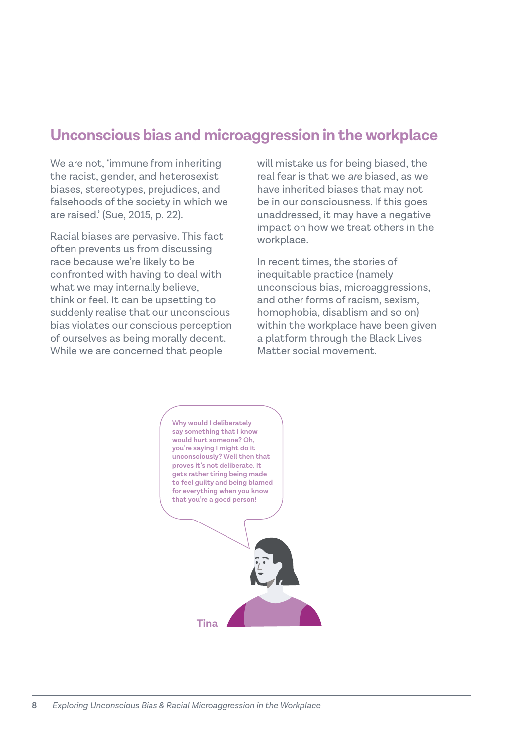## **Unconscious bias and microaggression in the workplace**

We are not, 'immune from inheriting the racist, gender, and heterosexist biases, stereotypes, prejudices, and falsehoods of the society in which we are raised.' (Sue, 2015, p. 22).

Racial biases are pervasive. This fact often prevents us from discussing race because we're likely to be confronted with having to deal with what we may internally believe, think or feel. It can be upsetting to suddenly realise that our unconscious bias violates our conscious perception of ourselves as being morally decent. While we are concerned that people

will mistake us for being biased, the real fear is that we *are* biased, as we have inherited biases that may not be in our consciousness. If this goes unaddressed, it may have a negative impact on how we treat others in the workplace.

In recent times, the stories of inequitable practice (namely unconscious bias, microaggressions, and other forms of racism, sexism, homophobia, disablism and so on) within the workplace have been given a platform through the Black Lives Matter social movement.

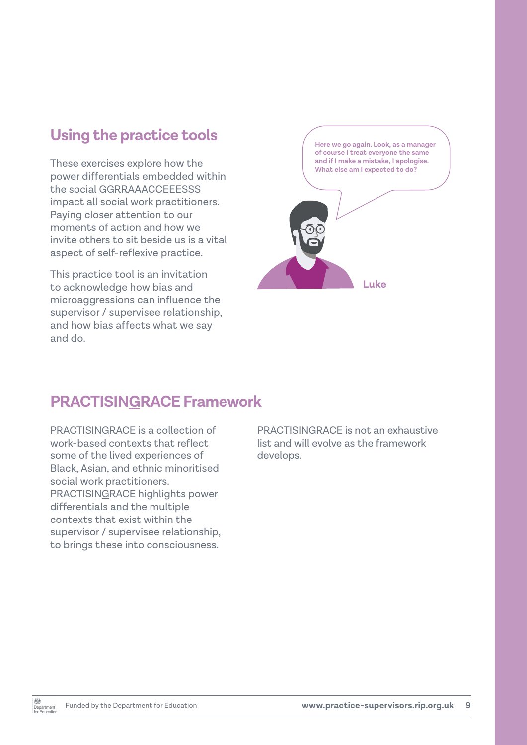## **Using the practice tools**

These exercises explore how the power differentials embedded within the social GGRRAAACCEEESSS impact all social work practitioners. Paying closer attention to our moments of action and how we invite others to sit beside us is a vital aspect of self-reflexive practice.

This practice tool is an invitation to acknowledge how bias and microaggressions can influence the supervisor / supervisee relationship, and how bias affects what we say and do.



## **PRACTISINGRACE Framework**

PRACTISINGRACE is a collection of work-based contexts that reflect some of the lived experiences of Black, Asian, and ethnic minoritised social work practitioners. PRACTISINGRACE highlights power differentials and the multiple contexts that exist within the supervisor / supervisee relationship, to brings these into consciousness.

PRACTISINGRACE is not an exhaustive list and will evolve as the framework develops.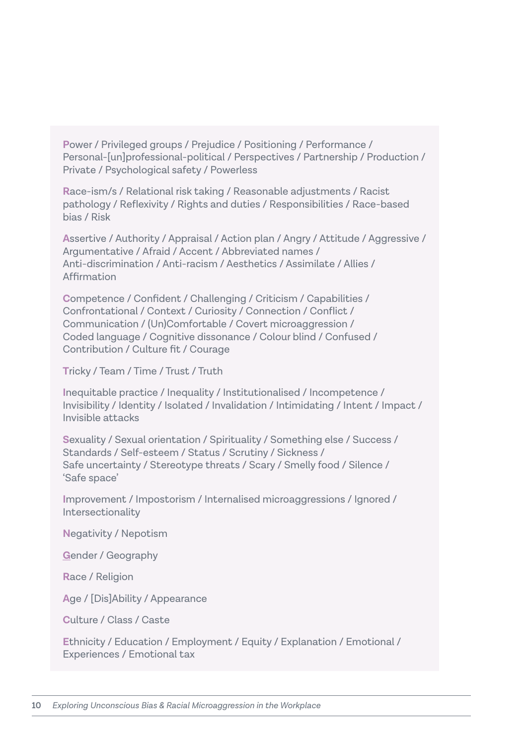**P**ower / Privileged groups / Prejudice / Positioning / Performance / Personal-[un]professional-political / Perspectives / Partnership / Production / Private / Psychological safety / Powerless

**R**ace-ism/s / Relational risk taking / Reasonable adjustments / Racist pathology / Reflexivity / Rights and duties / Responsibilities / Race-based bias / Risk

**A**ssertive / Authority / Appraisal / Action plan / Angry / Attitude / Aggressive / Argumentative / Afraid / Accent / Abbreviated names / Anti-discrimination / Anti-racism / Aesthetics / Assimilate / Allies / Affirmation

**C**ompetence / Confident / Challenging / Criticism / Capabilities / Confrontational / Context / Curiosity / Connection / Conflict / Communication / (Un)Comfortable / Covert microaggression / Coded language / Cognitive dissonance / Colour blind / Confused / Contribution / Culture fit / Courage

**T**ricky / Team / Time / Trust / Truth

**I**nequitable practice / Inequality / Institutionalised / Incompetence / Invisibility / Identity / Isolated / Invalidation / Intimidating / Intent / Impact / Invisible attacks

**S**exuality / Sexual orientation / Spirituality / Something else / Success / Standards / Self-esteem / Status / Scrutiny / Sickness / Safe uncertainty / Stereotype threats / Scary / Smelly food / Silence / 'Safe space'

**I**mprovement / Impostorism / Internalised microaggressions / Ignored / Intersectionality

**N**egativity / Nepotism

**G**ender / Geography

**R**ace / Religion

**A**ge / [Dis]Ability / Appearance

**C**ulture / Class / Caste

**E**thnicity / Education / Employment / Equity / Explanation / Emotional / Experiences / Emotional tax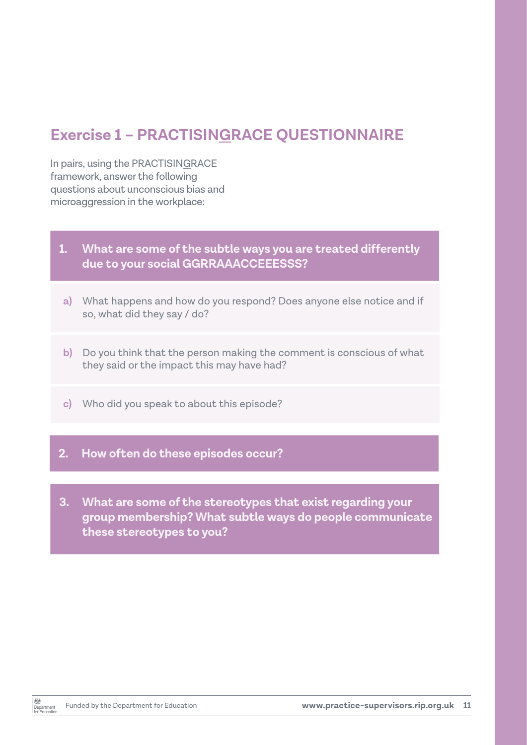## **Exercise 1 – PRACTISINGRACE QUESTIONNAIRE**

In pairs, using the PRACTISINGRACE framework, answer the following questions about unconscious bias and microaggression in the workplace:

#### **1. What are some of the subtle ways you are treated differently due to your social GGRRAAACCEEESSS?**

- **a)** What happens and how do you respond? Does anyone else notice and if so, what did they say / do?
- **b)** Do you think that the person making the comment is conscious of what they said or the impact this may have had?
- **c)** Who did you speak to about this episode?

#### **2. How often do these episodes occur?**

**3. What are some of the stereotypes that exist regarding your group membership? What subtle ways do people communicate these stereotypes to you?**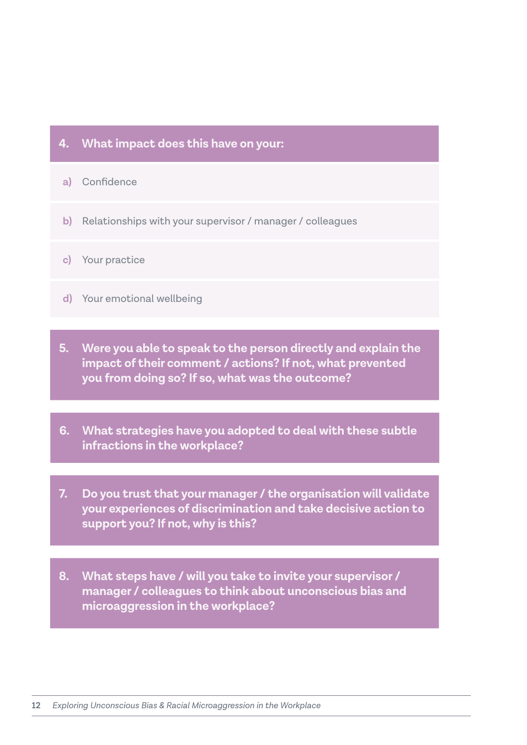#### **4. What impact does this have on your:**

- **a)** Confidence
- **b)** Relationships with your supervisor / manager / colleagues
- **c)** Your practice
- **d)** Your emotional wellbeing
- **5. Were you able to speak to the person directly and explain the impact of their comment / actions? If not, what prevented you from doing so? If so, what was the outcome?**
- **6. What strategies have you adopted to deal with these subtle infractions in the workplace?**
- **7. Do you trust that your manager / the organisation will validate your experiences of discrimination and take decisive action to support you? If not, why is this?**
- **8. What steps have / will you take to invite your supervisor / manager / colleagues to think about unconscious bias and microaggression in the workplace?**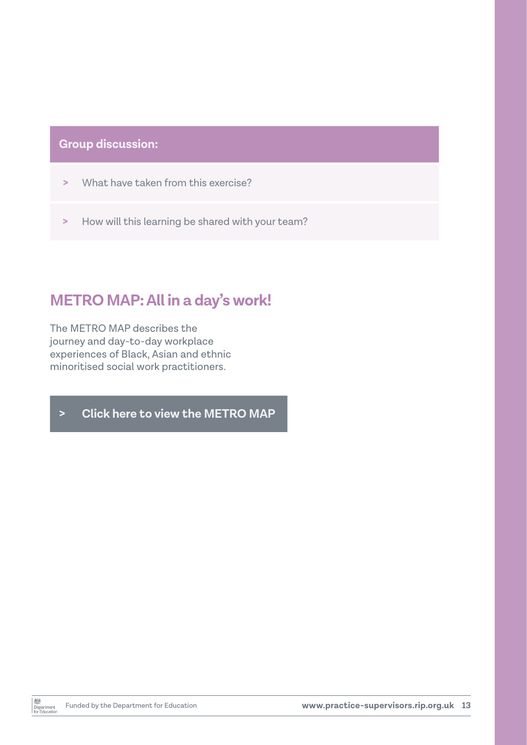## **Group discussion:**

- **>** What have taken from this exercise?
- **>** How will this learning be shared with your team?

## **METRO MAP: All in a day's work!**

The METRO MAP describes the journey and day-to-day workplace experiences of Black, Asian and ethnic minoritised social work practitioners.

**> [Click here to view the METRO MAP](#page-13-0)**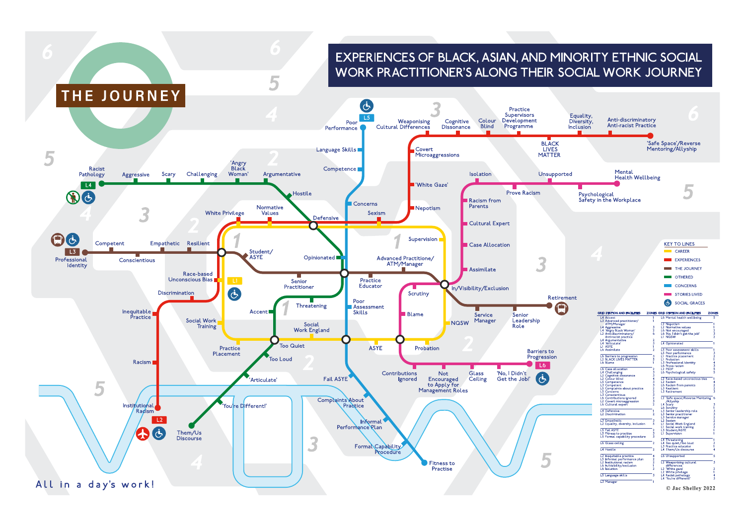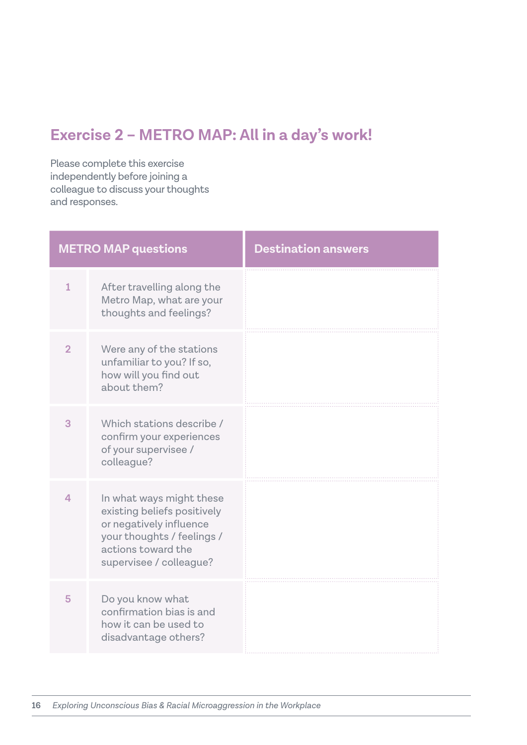# **Exercise 2 – METRO MAP: All in a day's work!**

Please complete this exercise independently before joining a colleague to discuss your thoughts and responses.

| <b>METRO MAP questions</b> |                                                                                                                                                                   | <b>Destination answers</b> |
|----------------------------|-------------------------------------------------------------------------------------------------------------------------------------------------------------------|----------------------------|
| $\mathbf{1}$               | After travelling along the<br>Metro Map, what are your<br>thoughts and feelings?                                                                                  |                            |
| $\overline{2}$             | Were any of the stations<br>unfamiliar to you? If so,<br>how will you find out<br>about them?                                                                     |                            |
| 3                          | Which stations describe /<br>confirm your experiences<br>of your supervisee /<br>colleague?                                                                       |                            |
| 4                          | In what ways might these<br>existing beliefs positively<br>or negatively influence<br>your thoughts / feelings /<br>actions toward the<br>supervisee / colleague? |                            |
| 5                          | Do you know what<br>confirmation bias is and<br>how it can be used to<br>disadvantage others?                                                                     |                            |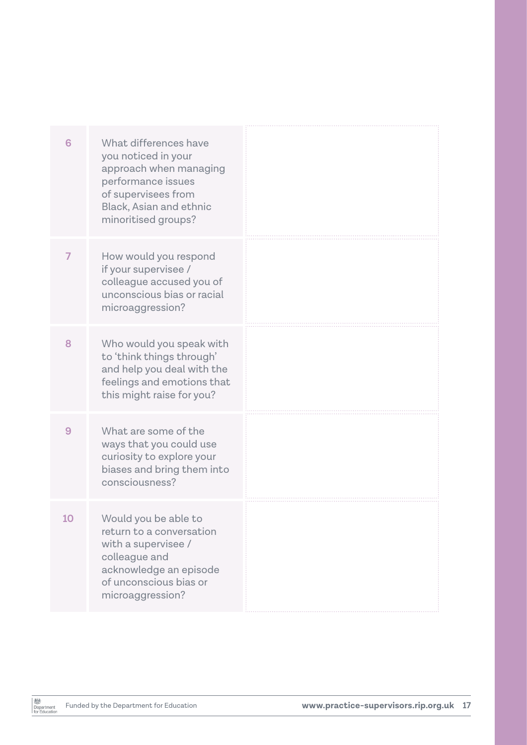| What differences have<br>6<br>you noticed in your<br>approach when managing<br>performance issues<br>of supervisees from<br><b>Black, Asian and ethnic</b><br>minoritised groups?<br>How would you respond<br>7<br>if your supervisee /<br>colleague accused you of<br>unconscious bias or racial<br>microaggression?<br>Who would you speak with<br>8<br>to 'think things through'<br>and help you deal with the<br>feelings and emotions that<br>this might raise for you?<br>9<br>What are some of the<br>ways that you could use<br>curiosity to explore your<br>biases and bring them into<br>consciousness?<br>Would you be able to<br>10<br>return to a conversation<br>with a supervisee /<br>colleague and<br>acknowledge an episode<br>of unconscious bias or<br>microaggression? |  |  |
|---------------------------------------------------------------------------------------------------------------------------------------------------------------------------------------------------------------------------------------------------------------------------------------------------------------------------------------------------------------------------------------------------------------------------------------------------------------------------------------------------------------------------------------------------------------------------------------------------------------------------------------------------------------------------------------------------------------------------------------------------------------------------------------------|--|--|
|                                                                                                                                                                                                                                                                                                                                                                                                                                                                                                                                                                                                                                                                                                                                                                                             |  |  |
|                                                                                                                                                                                                                                                                                                                                                                                                                                                                                                                                                                                                                                                                                                                                                                                             |  |  |
|                                                                                                                                                                                                                                                                                                                                                                                                                                                                                                                                                                                                                                                                                                                                                                                             |  |  |
|                                                                                                                                                                                                                                                                                                                                                                                                                                                                                                                                                                                                                                                                                                                                                                                             |  |  |
|                                                                                                                                                                                                                                                                                                                                                                                                                                                                                                                                                                                                                                                                                                                                                                                             |  |  |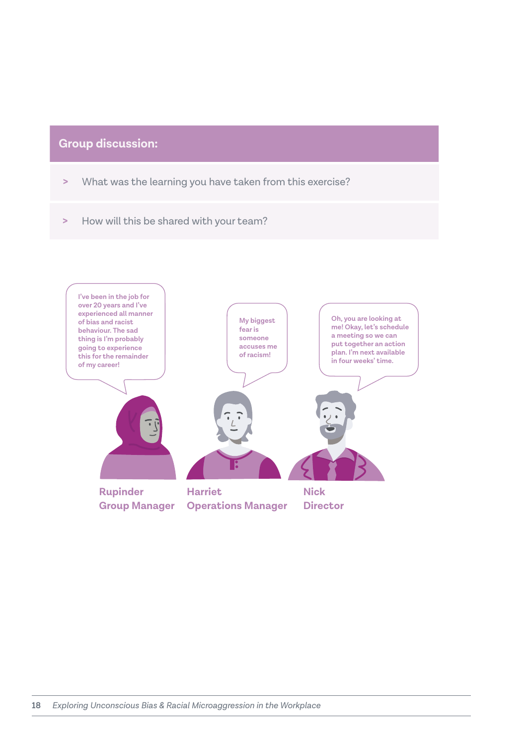## **Group discussion:**

- **>** What was the learning you have taken from this exercise?
- **>** How will this be shared with your team?

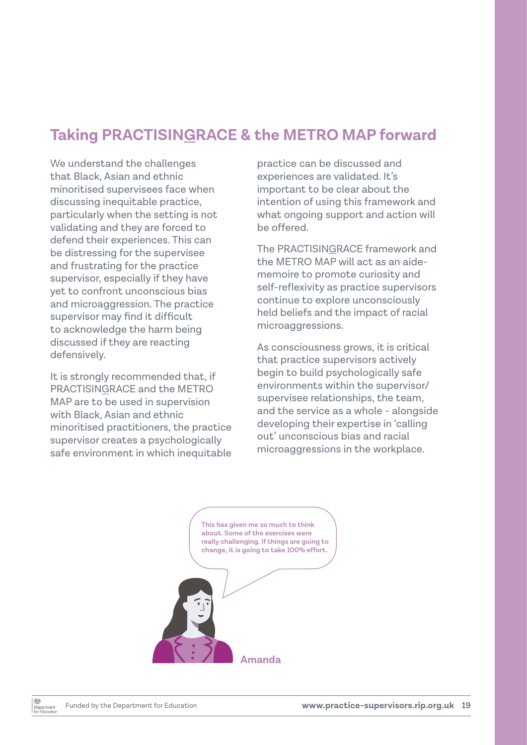## **Taking PRACTISINGRACE & the METRO MAP forward**

We understand the challenges that Black, Asian and ethnic minoritised supervisees face when discussing inequitable practice, particularly when the setting is not validating and they are forced to defend their experiences. This can be distressing for the supervisee and frustrating for the practice supervisor, especially if they have yet to confront unconscious bias and microaggression. The practice supervisor may find it difficult to acknowledge the harm being discussed if they are reacting defensively.

It is strongly recommended that, if PRACTISINGRACE and the METRO MAP are to be used in supervision with Black, Asian and ethnic minoritised practitioners, the practice supervisor creates a psychologically safe environment in which inequitable

practice can be discussed and experiences are validated. It's important to be clear about the intention of using this framework and what ongoing support and action will be offered.

The PRACTISINGRACE framework and the METRO MAP will act as an aidememoire to promote curiosity and self-reflexivity as practice supervisors continue to explore unconsciously held beliefs and the impact of racial microaggressions.

As consciousness grows, it is critical that practice supervisors actively begin to build psychologically safe environments within the supervisor/ supervisee relationships, the team, and the service as a whole - alongside developing their expertise in 'calling out' unconscious bias and racial microaggressions in the workplace.

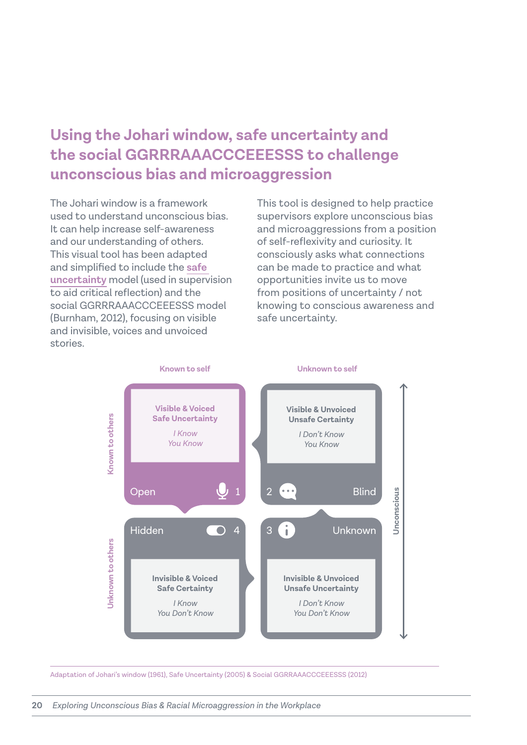## **Using the Johari window, safe uncertainty and the social GGRRRAAACCCEEESSS to challenge unconscious bias and microaggression**

The Johari window is a framework used to understand unconscious bias. It can help increase self-awareness and our understanding of others. This visual tool has been adapted and simplified to include the **safe uncertainty** model (used in supervision to aid critical reflection) and the social GGRRRAAACCCEEESSS model (Burnham, 2012), focusing on visible and invisible, voices and unvoiced stories.

This tool is designed to help practice supervisors explore unconscious bias and microaggressions from a position of self-reflexivity and curiosity. It consciously asks what connections can be made to practice and what opportunities invite us to move from positions of uncertainty / not knowing to conscious awareness and safe uncertainty.



Adaptation of Johari's window (1961), Safe Uncertainty (2005) & Social GGRRAAACCCEEESSS (2012)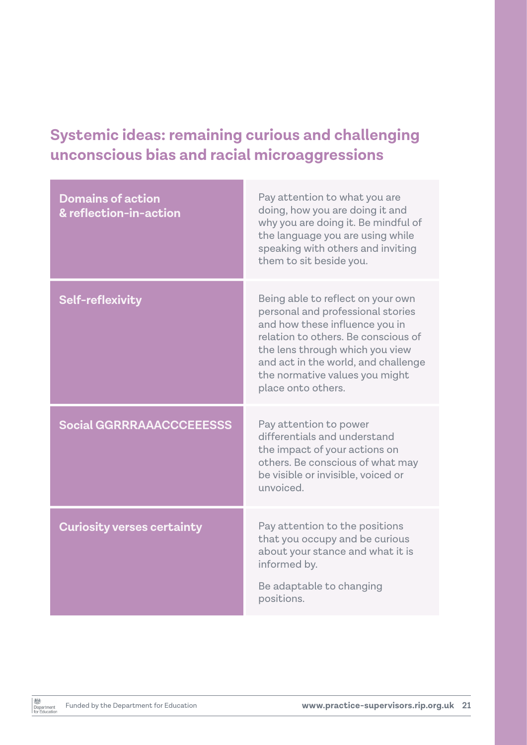# **Systemic ideas: remaining curious and challenging unconscious bias and racial microaggressions**

| <b>Domains of action</b><br>& reflection-in-action | Pay attention to what you are<br>doing, how you are doing it and<br>why you are doing it. Be mindful of<br>the language you are using while<br>speaking with others and inviting<br>them to sit beside you.                                                                       |
|----------------------------------------------------|-----------------------------------------------------------------------------------------------------------------------------------------------------------------------------------------------------------------------------------------------------------------------------------|
| Self-reflexivity                                   | Being able to reflect on your own<br>personal and professional stories<br>and how these influence you in<br>relation to others. Be conscious of<br>the lens through which you view<br>and act in the world, and challenge<br>the normative values you might<br>place onto others. |
| <b>Social GGRRRAAACCCEEESSS</b>                    | Pay attention to power<br>differentials and understand<br>the impact of your actions on<br>others. Be conscious of what may<br>be visible or invisible, voiced or<br>unvoiced.                                                                                                    |
| <b>Curiosity verses certainty</b>                  | Pay attention to the positions<br>that you occupy and be curious<br>about your stance and what it is<br>informed by.<br>Be adaptable to changing<br>positions.                                                                                                                    |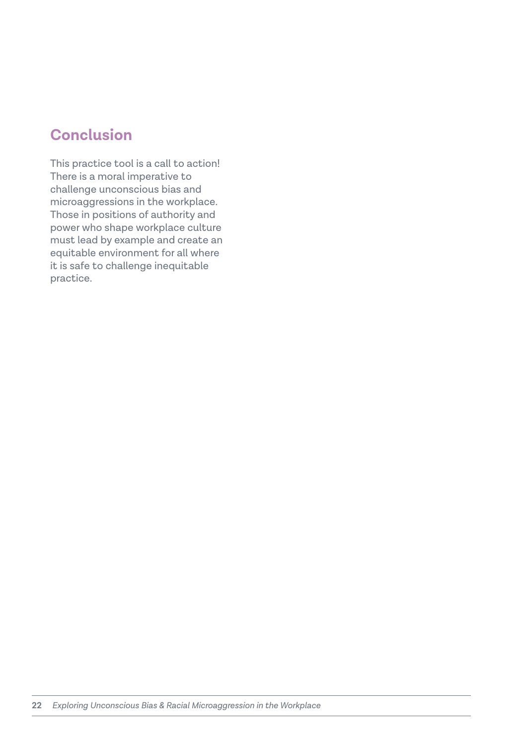## **Conclusion**

This practice tool is a call to action! There is a moral imperative to challenge unconscious bias and microaggressions in the workplace. Those in positions of authority and power who shape workplace culture must lead by example and create an equitable environment for all where it is safe to challenge inequitable practice.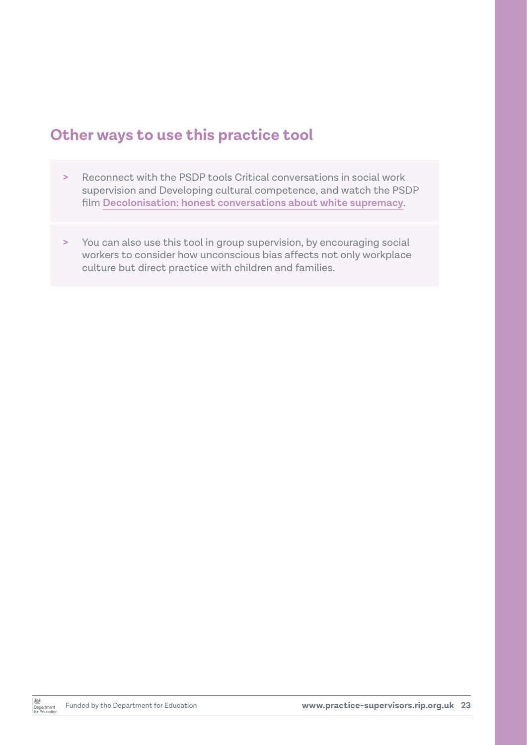## **Other ways to use this practice tool**

- **>** Reconnect with the PSDP tools Critical conversations in social work supervision and Developing cultural competence, and watch the PSDP film **[Decolonisation: honest conversations about white supremacy](https://practice-supervisors.rip.org.uk/excellent-social-work/leading-and-influencing-others-in-your-organisation/)**.
- **>** You can also use this tool in group supervision, by encouraging social workers to consider how unconscious bias affects not only workplace culture but direct practice with children and families.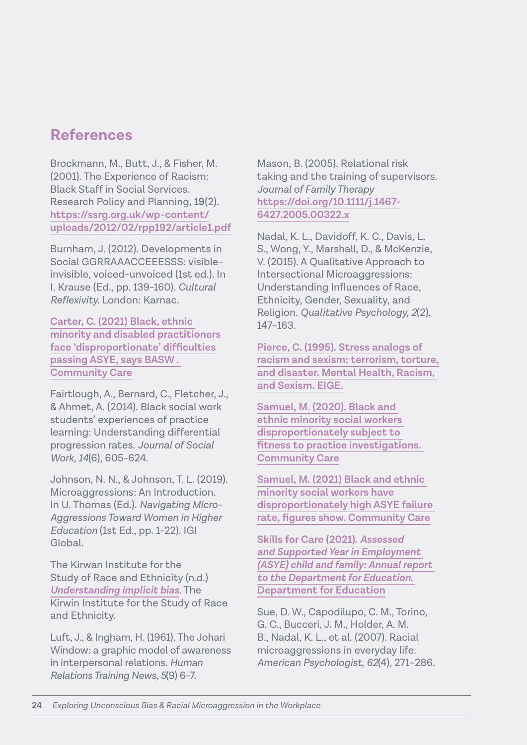## **References**

Brockmann, M., Butt, J., & Fisher, M. (2001). The Experience of Racism: Black Staff in Social Services. Research Policy and Planning, **19**(2). **[https://ssrg.org.uk/wp-content/](https://ssrg.org.uk/wp-content/uploads/2012/02/rpp192/article1.pdf) [uploads/2012/02/rpp192/article1.pdf](https://ssrg.org.uk/wp-content/uploads/2012/02/rpp192/article1.pdf)**

Burnham, J. (2012). Developments in Social GGRRAAACCEEESSS: visibleinvisible, voiced-unvoiced (1st ed.). In I. Krause (Ed., pp. 139-160). *Cultural Reflexivity.* London: Karnac.

**[Carter, C. \(2021\) Black, ethnic](https://www.communitycare.co.uk/2021/02/23/black-ethnic-minority-disabled-practitioners-face-disproportionate-difficulties-passing-asye-says-basw/)  [minority and disabled practitioners](https://www.communitycare.co.uk/2021/02/23/black-ethnic-minority-disabled-practitioners-face-disproportionate-difficulties-passing-asye-says-basw/)  [face 'disproportionate' difficulties](https://www.communitycare.co.uk/2021/02/23/black-ethnic-minority-disabled-practitioners-face-disproportionate-difficulties-passing-asye-says-basw/)  [passing ASYE, says BASW .](https://www.communitycare.co.uk/2021/02/23/black-ethnic-minority-disabled-practitioners-face-disproportionate-difficulties-passing-asye-says-basw/)  [Community Care](https://www.communitycare.co.uk/2021/02/23/black-ethnic-minority-disabled-practitioners-face-disproportionate-difficulties-passing-asye-says-basw/)**

Fairtlough, A., Bernard, C., Fletcher, J., & Ahmet, A. (2014). Black social work students' experiences of practice learning: Understanding differential progression rates. *Journal of Social Work, 14*(6), 605-624.

Johnson, N. N., & Johnson, T. L. (2019). Microaggressions: An Introduction. In U. Thomas (Ed.). *Navigating Micro-Aggressions Toward Women in Higher Education* (1st Ed., pp. 1-22). IGI Global.

The Kirwan Institute for the Study of Race and Ethnicity (n.d.) *[Understanding implicit bias](https://kirwaninstitute.osu.edu/research/understanding-implicit-bias)*. The Kirwin Institute for the Study of Race and Ethnicity.

Luft, J., & Ingham, H. (1961). The Johari Window: a graphic model of awareness in interpersonal relations. *Human Relations Training News, 5*(9) 6-7.

Mason, B. (2005). Relational risk taking and the training of supervisors. *Journal of Family Therapy* **[https://doi.org/10.1111/j.1467-](https://doi.org/10.1111/j.1467-6427.2005.00322.x) [6427.2005.00322.x](https://doi.org/10.1111/j.1467-6427.2005.00322.x)**

Nadal, K. L., Davidoff, K. C., Davis, L. S., Wong, Y., Marshall, D., & McKenzie, V. (2015). A Qualitative Approach to Intersectional Microaggressions: Understanding Influences of Race, Ethnicity, Gender, Sexuality, and Religion. *Qualitative Psychology, 2*(2), 147–163.

**[Pierce, C. \(1995\). Stress analogs of](https://eige.europa.eu/library/resource/kvinnsam.9228434)  [racism and sexism: terrorism, torture,](https://eige.europa.eu/library/resource/kvinnsam.9228434) [and disaster. Mental Health, Racism,](https://eige.europa.eu/library/resource/kvinnsam.9228434)  [and Sexism. EIGE.](https://eige.europa.eu/library/resource/kvinnsam.9228434)**

**[Samuel, M. \(2020\). Black and](https://www.communitycare.co.uk/2020/07/31/black-ethnic-minority-social-workers-disproportionately-subject-fitness-practise-investigations/)  [ethnic minority social workers](https://www.communitycare.co.uk/2020/07/31/black-ethnic-minority-social-workers-disproportionately-subject-fitness-practise-investigations/)  [disproportionately subject to](https://www.communitycare.co.uk/2020/07/31/black-ethnic-minority-social-workers-disproportionately-subject-fitness-practise-investigations/)  [fitness to practice investigations.](https://www.communitycare.co.uk/2020/07/31/black-ethnic-minority-social-workers-disproportionately-subject-fitness-practise-investigations/)  [Community Care](https://www.communitycare.co.uk/2020/07/31/black-ethnic-minority-social-workers-disproportionately-subject-fitness-practise-investigations/)**

**Samuel, M. (2021) Black and ethnic minority social workers have disproportionately high ASYE failure rate, figures show. Community Care**

**[Skills for Care \(2021\).](https://www.skillsforcare.org.uk/Documents/Learning-and-development/ASYE-child-and-family/ASYE-child-and-family-annual-report-2020-21.pdf)** *Assessed [and Supported Year in Employment](https://www.skillsforcare.org.uk/Documents/Learning-and-development/ASYE-child-and-family/ASYE-child-and-family-annual-report-2020-21.pdf)  [\(ASYE\) child and family: Annual report](https://www.skillsforcare.org.uk/Documents/Learning-and-development/ASYE-child-and-family/ASYE-child-and-family-annual-report-2020-21.pdf)  [to the Department for Education](https://www.skillsforcare.org.uk/Documents/Learning-and-development/ASYE-child-and-family/ASYE-child-and-family-annual-report-2020-21.pdf)***. [Department for Education](https://www.skillsforcare.org.uk/Documents/Learning-and-development/ASYE-child-and-family/ASYE-child-and-family-annual-report-2020-21.pdf)**

Sue, D. W., Capodilupo, C. M., Torino, G. C., Bucceri, J. M., Holder, A. M. B., Nadal, K. L., et al. (2007). Racial microaggressions in everyday life. *American Psychologist, 62*(4), 271–286.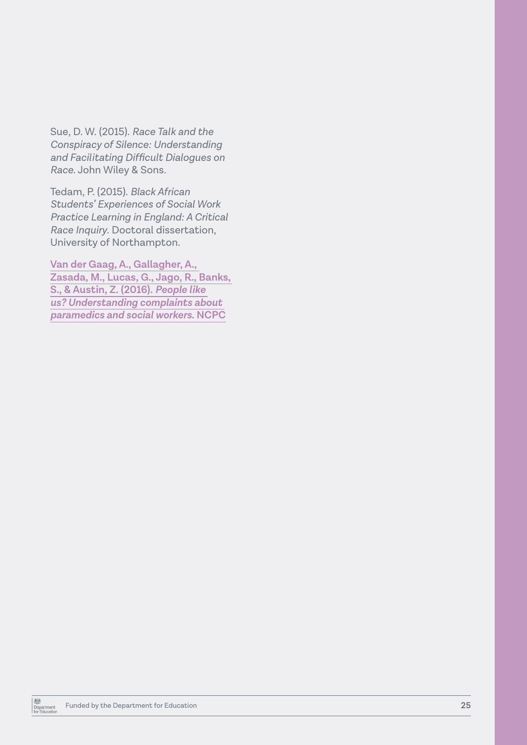Sue, D. W. (2015). *Race Talk and the Conspiracy of Silence: Understanding and Facilitating Difficult Dialogues on Race.* John Wiley & Sons.

Tedam, P. (2015). *Black African Students' Experiences of Social Work Practice Learning in England: A Critical Race Inquiry*. Doctoral dissertation, University of Northampton.

**[Van der Gaag, A., Gallagher, A.,](https://www.hcpc-uk.org/resources/reports/2017/people-like-us-understanding-complaints-about-paramedics-and-social-workers/)  [Zasada, M., Lucas, G., Jago, R., Banks,](https://www.hcpc-uk.org/resources/reports/2017/people-like-us-understanding-complaints-about-paramedics-and-social-workers/)  [S., & Austin, Z. \(2016\).](https://www.hcpc-uk.org/resources/reports/2017/people-like-us-understanding-complaints-about-paramedics-and-social-workers/)** *People like [us? Understanding complaints about](https://www.hcpc-uk.org/resources/reports/2017/people-like-us-understanding-complaints-about-paramedics-and-social-workers/)  [paramedics and social workers](https://www.hcpc-uk.org/resources/reports/2017/people-like-us-understanding-complaints-about-paramedics-and-social-workers/)***. NCPC**